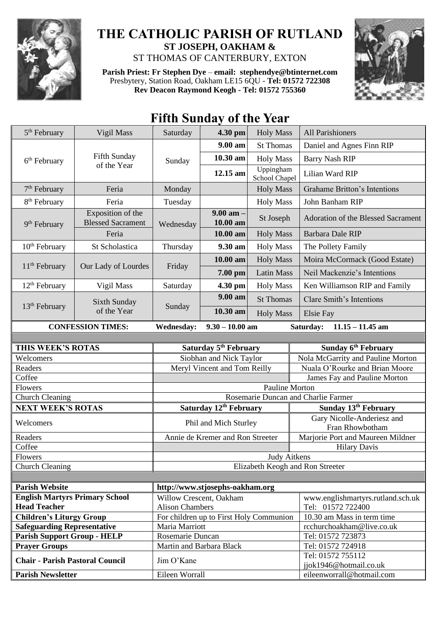

## **THE CATHOLIC PARISH OF RUTLAND ST JOSEPH, OAKHAM &**  ST THOMAS OF CANTERBURY, EXTON

**Parish Priest: Fr Stephen Dye** – **[email: stephendye@btinternet.com](mailto:email:%20%20stephendye@btinternet.com)** Presbytery, Station Road, Oakham LE15 6QU - **Tel: 01572 722308 Rev Deacon Raymond Keogh - Tel: 01572 755360**



## **Fifth Sunday of the Year**

| 5 <sup>th</sup> February                                   | Vigil Mass                                    | Saturday                                | 4.30 pm                   | <b>Holy Mass</b>           | <b>All Parishioners</b>                       |  |
|------------------------------------------------------------|-----------------------------------------------|-----------------------------------------|---------------------------|----------------------------|-----------------------------------------------|--|
| 6 <sup>th</sup> February                                   | Fifth Sunday<br>of the Year                   | Sunday                                  | 9.00 am                   | <b>St Thomas</b>           | Daniel and Agnes Finn RIP                     |  |
|                                                            |                                               |                                         | 10.30 am                  | <b>Holy Mass</b>           | <b>Barry Nash RIP</b>                         |  |
|                                                            |                                               |                                         | 12.15 am                  | Uppingham<br>School Chapel | Lilian Ward RIP                               |  |
| $7th$ February                                             | Feria                                         | Monday                                  |                           | <b>Holy Mass</b>           | <b>Grahame Britton's Intentions</b>           |  |
| 8 <sup>th</sup> February                                   | Feria                                         | Tuesday                                 |                           | <b>Holy Mass</b>           | John Banham RIP                               |  |
| $9th$ February                                             | Exposition of the<br><b>Blessed Sacrament</b> | Wednesday                               | $9.00$ am $-$<br>10.00 am | St Joseph                  | <b>Adoration of the Blessed Sacrament</b>     |  |
|                                                            | Feria                                         |                                         | 10.00 am                  | <b>Holy Mass</b>           | Barbara Dale RIP                              |  |
| 10 <sup>th</sup> February                                  | St Scholastica                                | Thursday                                | 9.30 am                   | <b>Holy Mass</b>           | The Pollety Family                            |  |
| $11th$ February                                            | Our Lady of Lourdes                           | Friday                                  | 10.00 am                  | <b>Holy Mass</b>           | Moira McCormack (Good Estate)                 |  |
|                                                            |                                               |                                         | 7.00 pm                   | <b>Latin Mass</b>          | Neil Mackenzie's Intentions                   |  |
| $12th$ February                                            | Vigil Mass                                    | Saturday                                | 4.30 pm                   | <b>Holy Mass</b>           | Ken Williamson RIP and Family                 |  |
| 13 <sup>th</sup> February                                  | Sixth Sunday<br>of the Year                   | Sunday                                  | 9.00 am                   | <b>St Thomas</b>           | <b>Clare Smith's Intentions</b>               |  |
|                                                            |                                               |                                         | 10.30 am                  | <b>Holy Mass</b>           | <b>Elsie Fay</b>                              |  |
| <b>CONFESSION TIMES:</b>                                   |                                               | <b>Wednesday:</b>                       | $9.30 - 10.00$ am         |                            | $11.15 - 11.45$ am<br>Saturday:               |  |
|                                                            |                                               |                                         |                           |                            |                                               |  |
| THIS WEEK'S ROTAS                                          |                                               | Saturday 5 <sup>th</sup> February       |                           |                            | Sunday 6 <sup>th</sup> February               |  |
| Welcomers                                                  |                                               | Siobhan and Nick Taylor                 |                           |                            | Nola McGarrity and Pauline Morton             |  |
| Readers                                                    |                                               | Meryl Vincent and Tom Reilly            |                           |                            | Nuala O'Rourke and Brian Moore                |  |
| Coffee                                                     |                                               | James Fay and Pauline Morton            |                           |                            |                                               |  |
| Flowers                                                    |                                               | <b>Pauline Morton</b>                   |                           |                            |                                               |  |
| <b>Church Cleaning</b>                                     |                                               | Rosemarie Duncan and Charlie Farmer     |                           |                            |                                               |  |
| <b>NEXT WEEK'S ROTAS</b>                                   |                                               | Saturday 12th February                  |                           |                            | Sunday 13th February                          |  |
| Welcomers                                                  |                                               | Phil and Mich Sturley                   |                           |                            | Gary Nicolle-Anderiesz and<br>Fran Rhowbotham |  |
| Readers                                                    |                                               | Annie de Kremer and Ron Streeter        |                           |                            | Marjorie Port and Maureen Mildner             |  |
| Coffee                                                     |                                               |                                         |                           |                            | <b>Hilary Davis</b>                           |  |
| Flowers                                                    |                                               | <b>Judy Aitkens</b>                     |                           |                            |                                               |  |
| <b>Church Cleaning</b>                                     |                                               | Elizabeth Keogh and Ron Streeter        |                           |                            |                                               |  |
|                                                            |                                               |                                         |                           |                            |                                               |  |
| <b>Parish Website</b>                                      |                                               | http://www.stjosephs-oakham.org         |                           |                            |                                               |  |
| <b>English Martyrs Primary School</b>                      |                                               | Willow Crescent, Oakham                 |                           |                            | www.englishmartyrs.rutland.sch.uk             |  |
| <b>Head Teacher</b>                                        |                                               | <b>Alison Chambers</b>                  |                           |                            | Tel: 01572 722400                             |  |
| <b>Children's Liturgy Group</b>                            |                                               | For children up to First Holy Communion |                           |                            | 10.30 am Mass in term time                    |  |
| <b>Safeguarding Representative</b>                         |                                               | Maria Marriott<br>Rosemarie Duncan      |                           |                            | rcchurchoakham@live.co.uk                     |  |
| <b>Parish Support Group - HELP</b><br><b>Prayer Groups</b> |                                               | Martin and Barbara Black                |                           |                            | Tel: 01572 723873<br>Tel: 01572 724918        |  |
|                                                            |                                               |                                         |                           |                            | Tel: 01572 755112                             |  |
| <b>Chair - Parish Pastoral Council</b>                     |                                               | Jim O'Kane                              |                           |                            | jjok1946@hotmail.co.uk                        |  |
|                                                            |                                               |                                         |                           |                            |                                               |  |